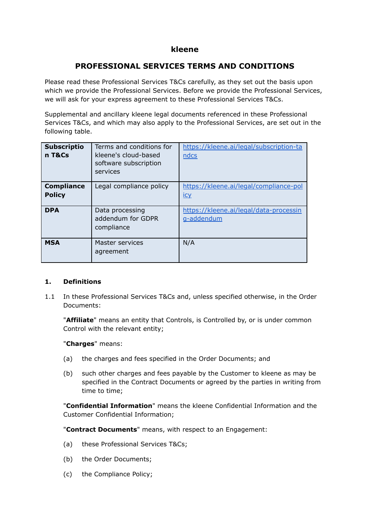# **kleene**

# **PROFESSIONAL SERVICES TERMS AND CONDITIONS**

Please read these Professional Services T&Cs carefully, as they set out the basis upon which we provide the Professional Services. Before we provide the Professional Services, we will ask for your express agreement to these Professional Services T&Cs.

Supplemental and ancillary kleene legal documents referenced in these Professional Services T&Cs, and which may also apply to the Professional Services, are set out in the following table.

| <b>Subscriptio</b><br>n T&Cs       | Terms and conditions for<br>kleene's cloud-based<br>software subscription<br>services | https://kleene.ai/legal/subscription-ta<br>ndcs      |
|------------------------------------|---------------------------------------------------------------------------------------|------------------------------------------------------|
| <b>Compliance</b><br><b>Policy</b> | Legal compliance policy                                                               | https://kleene.ai/legal/compliance-pol<br><u>icy</u> |
| <b>DPA</b>                         | Data processing<br>addendum for GDPR<br>compliance                                    | https://kleene.ai/legal/data-processin<br>g-addendum |
| <b>MSA</b>                         | Master services<br>agreement                                                          | N/A                                                  |

## **1. Definitions**

1.1 In these Professional Services T&Cs and, unless specified otherwise, in the Order Documents:

"**Affiliate**" means an entity that Controls, is Controlled by, or is under common Control with the relevant entity;

"**Charges**" means:

- (a) the charges and fees specified in the Order Documents; and
- (b) such other charges and fees payable by the Customer to kleene as may be specified in the Contract Documents or agreed by the parties in writing from time to time;

"**Confidential Information**" means the kleene Confidential Information and the Customer Confidential Information;

"**Contract Documents**" means, with respect to an Engagement:

- (a) these Professional Services T&Cs;
- (b) the Order Documents;
- (c) the Compliance Policy;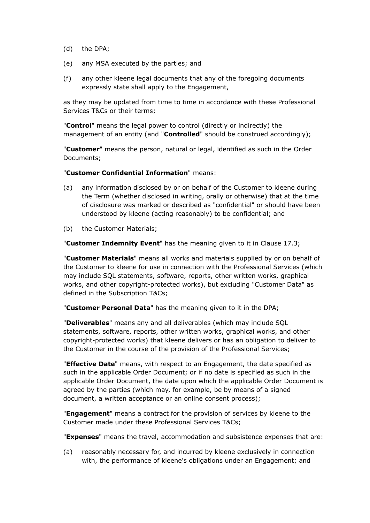- (d) the DPA;
- (e) any MSA executed by the parties; and
- (f) any other kleene legal documents that any of the foregoing documents expressly state shall apply to the Engagement,

as they may be updated from time to time in accordance with these Professional Services T&Cs or their terms;

"**Control**" means the legal power to control (directly or indirectly) the management of an entity (and "**Controlled**" should be construed accordingly);

"**Customer**" means the person, natural or legal, identified as such in the Order Documents;

#### "**Customer Confidential Information**" means:

- (a) any information disclosed by or on behalf of the Customer to kleene during the Term (whether disclosed in writing, orally or otherwise) that at the time of disclosure was marked or described as "confidential" or should have been understood by kleene (acting reasonably) to be confidential; and
- (b) the Customer Materials;

"**Customer Indemnity Event**" has the meaning given to it in Clause 17.3;

"**Customer Materials**" means all works and materials supplied by or on behalf of the Customer to kleene for use in connection with the Professional Services (which may include SQL statements, software, reports, other written works, graphical works, and other copyright-protected works), but excluding "Customer Data" as defined in the Subscription T&Cs;

"**Customer Personal Data**" has the meaning given to it in the DPA;

"**Deliverables**" means any and all deliverables (which may include SQL statements, software, reports, other written works, graphical works, and other copyright-protected works) that kleene delivers or has an obligation to deliver to the Customer in the course of the provision of the Professional Services;

"**Effective Date**" means, with respect to an Engagement, the date specified as such in the applicable Order Document; or if no date is specified as such in the applicable Order Document, the date upon which the applicable Order Document is agreed by the parties (which may, for example, be by means of a signed document, a written acceptance or an online consent process);

"**Engagement**" means a contract for the provision of services by kleene to the Customer made under these Professional Services T&Cs;

"**Expenses**" means the travel, accommodation and subsistence expenses that are:

(a) reasonably necessary for, and incurred by kleene exclusively in connection with, the performance of kleene's obligations under an Engagement; and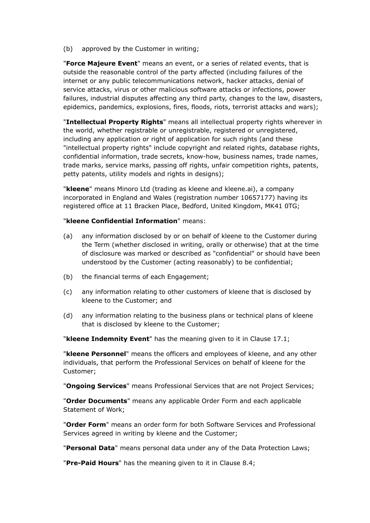(b) approved by the Customer in writing;

"**Force Majeure Event**" means an event, or a series of related events, that is outside the reasonable control of the party affected (including failures of the internet or any public telecommunications network, hacker attacks, denial of service attacks, virus or other malicious software attacks or infections, power failures, industrial disputes affecting any third party, changes to the law, disasters, epidemics, pandemics, explosions, fires, floods, riots, terrorist attacks and wars);

"**Intellectual Property Rights**" means all intellectual property rights wherever in the world, whether registrable or unregistrable, registered or unregistered, including any application or right of application for such rights (and these "intellectual property rights" include copyright and related rights, database rights, confidential information, trade secrets, know-how, business names, trade names, trade marks, service marks, passing off rights, unfair competition rights, patents, petty patents, utility models and rights in designs);

"**kleene**" means Minoro Ltd (trading as kleene and kleene.ai), a company incorporated in England and Wales (registration number 10657177) having its registered office at 11 Bracken Place, Bedford, United Kingdom, MK41 0TG;

#### "**kleene Confidential Information**" means:

- (a) any information disclosed by or on behalf of kleene to the Customer during the Term (whether disclosed in writing, orally or otherwise) that at the time of disclosure was marked or described as "confidential" or should have been understood by the Customer (acting reasonably) to be confidential;
- (b) the financial terms of each Engagement;
- (c) any information relating to other customers of kleene that is disclosed by kleene to the Customer; and
- (d) any information relating to the business plans or technical plans of kleene that is disclosed by kleene to the Customer;

"**kleene Indemnity Event**" has the meaning given to it in Clause 17.1;

"**kleene Personnel**" means the officers and employees of kleene, and any other individuals, that perform the Professional Services on behalf of kleene for the Customer;

"**Ongoing Services**" means Professional Services that are not Project Services;

"**Order Documents**" means any applicable Order Form and each applicable Statement of Work;

"**Order Form**" means an order form for both Software Services and Professional Services agreed in writing by kleene and the Customer;

"**Personal Data**" means personal data under any of the Data Protection Laws;

"**Pre-Paid Hours**" has the meaning given to it in Clause 8.4;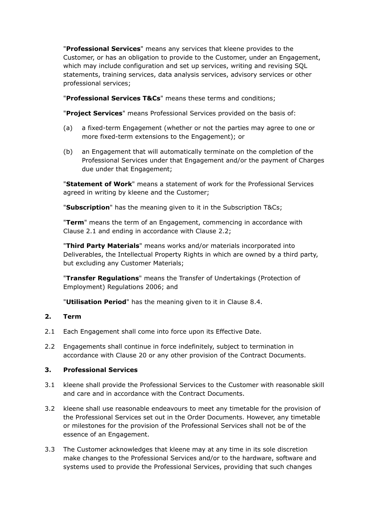"**Professional Services**" means any services that kleene provides to the Customer, or has an obligation to provide to the Customer, under an Engagement, which may include configuration and set up services, writing and revising SQL statements, training services, data analysis services, advisory services or other professional services;

"**Professional Services T&Cs**" means these terms and conditions;

"**Project Services**" means Professional Services provided on the basis of:

- (a) a fixed-term Engagement (whether or not the parties may agree to one or more fixed-term extensions to the Engagement); or
- (b) an Engagement that will automatically terminate on the completion of the Professional Services under that Engagement and/or the payment of Charges due under that Engagement;

"**Statement of Work**" means a statement of work for the Professional Services agreed in writing by kleene and the Customer;

"**Subscription**" has the meaning given to it in the Subscription T&Cs;

"**Term**" means the term of an Engagement, commencing in accordance with Clause 2.1 and ending in accordance with Clause 2.2;

"**Third Party Materials**" means works and/or materials incorporated into Deliverables, the Intellectual Property Rights in which are owned by a third party, but excluding any Customer Materials;

"**Transfer Regulations**" means the Transfer of Undertakings (Protection of Employment) Regulations 2006; and

"**Utilisation Period**" has the meaning given to it in Clause 8.4.

## **2. Term**

- 2.1 Each Engagement shall come into force upon its Effective Date.
- 2.2 Engagements shall continue in force indefinitely, subject to termination in accordance with Clause 20 or any other provision of the Contract Documents.

## **3. Professional Services**

- 3.1 kleene shall provide the Professional Services to the Customer with reasonable skill and care and in accordance with the Contract Documents.
- 3.2 kleene shall use reasonable endeavours to meet any timetable for the provision of the Professional Services set out in the Order Documents. However, any timetable or milestones for the provision of the Professional Services shall not be of the essence of an Engagement.
- 3.3 The Customer acknowledges that kleene may at any time in its sole discretion make changes to the Professional Services and/or to the hardware, software and systems used to provide the Professional Services, providing that such changes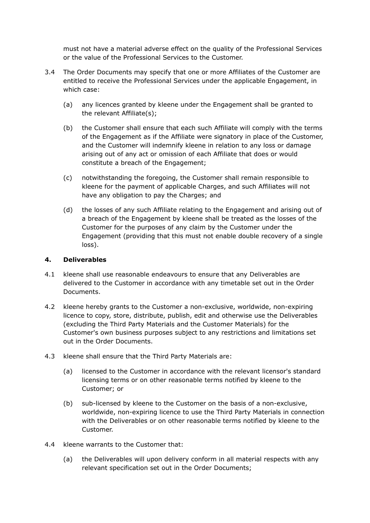must not have a material adverse effect on the quality of the Professional Services or the value of the Professional Services to the Customer.

- 3.4 The Order Documents may specify that one or more Affiliates of the Customer are entitled to receive the Professional Services under the applicable Engagement, in which case:
	- (a) any licences granted by kleene under the Engagement shall be granted to the relevant Affiliate(s);
	- (b) the Customer shall ensure that each such Affiliate will comply with the terms of the Engagement as if the Affiliate were signatory in place of the Customer, and the Customer will indemnify kleene in relation to any loss or damage arising out of any act or omission of each Affiliate that does or would constitute a breach of the Engagement;
	- (c) notwithstanding the foregoing, the Customer shall remain responsible to kleene for the payment of applicable Charges, and such Affiliates will not have any obligation to pay the Charges; and
	- (d) the losses of any such Affiliate relating to the Engagement and arising out of a breach of the Engagement by kleene shall be treated as the losses of the Customer for the purposes of any claim by the Customer under the Engagement (providing that this must not enable double recovery of a single loss).

#### **4. Deliverables**

- 4.1 kleene shall use reasonable endeavours to ensure that any Deliverables are delivered to the Customer in accordance with any timetable set out in the Order Documents.
- 4.2 kleene hereby grants to the Customer a non-exclusive, worldwide, non-expiring licence to copy, store, distribute, publish, edit and otherwise use the Deliverables (excluding the Third Party Materials and the Customer Materials) for the Customer's own business purposes subject to any restrictions and limitations set out in the Order Documents.
- 4.3 kleene shall ensure that the Third Party Materials are:
	- (a) licensed to the Customer in accordance with the relevant licensor's standard licensing terms or on other reasonable terms notified by kleene to the Customer; or
	- (b) sub-licensed by kleene to the Customer on the basis of a non-exclusive, worldwide, non-expiring licence to use the Third Party Materials in connection with the Deliverables or on other reasonable terms notified by kleene to the Customer.
- 4.4 kleene warrants to the Customer that:
	- (a) the Deliverables will upon delivery conform in all material respects with any relevant specification set out in the Order Documents;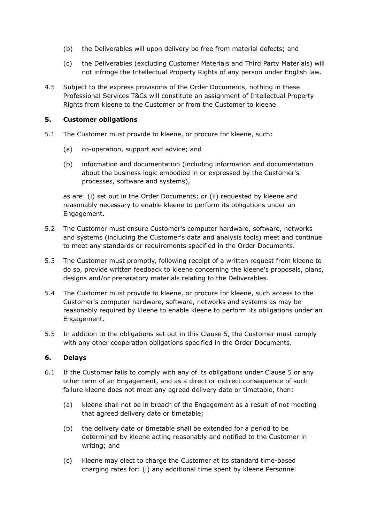- (b) the Deliverables will upon delivery be free from material defects; and
- (c) the Deliverables (excluding Customer Materials and Third Party Materials) will not infringe the Intellectual Property Rights of any person under English law.
- 4.5 Subject to the express provisions of the Order Documents, nothing in these Professional Services T&Cs will constitute an assignment of Intellectual Property Rights from kleene to the Customer or from the Customer to kleene.

## **5. Customer obligations**

- 5.1 The Customer must provide to kleene, or procure for kleene, such:
	- (a) co-operation, support and advice; and
	- (b) information and documentation (including information and documentation about the business logic embodied in or expressed by the Customer's processes, software and systems),

as are: (i) set out in the Order Documents; or (ii) requested by kleene and reasonably necessary to enable kleene to perform its obligations under an Engagement.

- 5.2 The Customer must ensure Customer's computer hardware, software, networks and systems (including the Customer's data and analysis tools) meet and continue to meet any standards or requirements specified in the Order Documents.
- 5.3 The Customer must promptly, following receipt of a written request from kleene to do so, provide written feedback to kleene concerning the kleene's proposals, plans, designs and/or preparatory materials relating to the Deliverables.
- 5.4 The Customer must provide to kleene, or procure for kleene, such access to the Customer's computer hardware, software, networks and systems as may be reasonably required by kleene to enable kleene to perform its obligations under an Engagement.
- 5.5 In addition to the obligations set out in this Clause 5, the Customer must comply with any other cooperation obligations specified in the Order Documents.

## **6. Delays**

- 6.1 If the Customer fails to comply with any of its obligations under Clause 5 or any other term of an Engagement, and as a direct or indirect consequence of such failure kleene does not meet any agreed delivery date or timetable, then:
	- (a) kleene shall not be in breach of the Engagement as a result of not meeting that agreed delivery date or timetable;
	- (b) the delivery date or timetable shall be extended for a period to be determined by kleene acting reasonably and notified to the Customer in writing; and
	- (c) kleene may elect to charge the Customer at its standard time-based charging rates for: (i) any additional time spent by kleene Personnel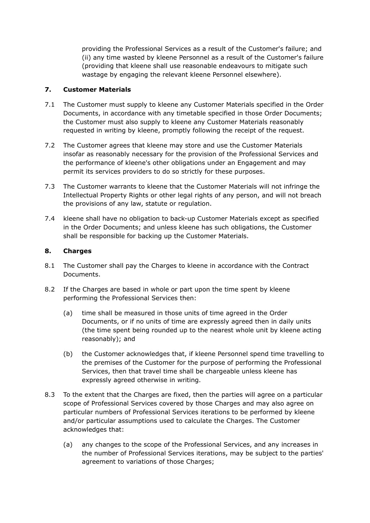providing the Professional Services as a result of the Customer's failure; and (ii) any time wasted by kleene Personnel as a result of the Customer's failure (providing that kleene shall use reasonable endeavours to mitigate such wastage by engaging the relevant kleene Personnel elsewhere).

# **7. Customer Materials**

- 7.1 The Customer must supply to kleene any Customer Materials specified in the Order Documents, in accordance with any timetable specified in those Order Documents; the Customer must also supply to kleene any Customer Materials reasonably requested in writing by kleene, promptly following the receipt of the request.
- 7.2 The Customer agrees that kleene may store and use the Customer Materials insofar as reasonably necessary for the provision of the Professional Services and the performance of kleene's other obligations under an Engagement and may permit its services providers to do so strictly for these purposes.
- 7.3 The Customer warrants to kleene that the Customer Materials will not infringe the Intellectual Property Rights or other legal rights of any person, and will not breach the provisions of any law, statute or regulation.
- 7.4 kleene shall have no obligation to back-up Customer Materials except as specified in the Order Documents; and unless kleene has such obligations, the Customer shall be responsible for backing up the Customer Materials.

# **8. Charges**

- 8.1 The Customer shall pay the Charges to kleene in accordance with the Contract Documents.
- 8.2 If the Charges are based in whole or part upon the time spent by kleene performing the Professional Services then:
	- (a) time shall be measured in those units of time agreed in the Order Documents, or if no units of time are expressly agreed then in daily units (the time spent being rounded up to the nearest whole unit by kleene acting reasonably); and
	- (b) the Customer acknowledges that, if kleene Personnel spend time travelling to the premises of the Customer for the purpose of performing the Professional Services, then that travel time shall be chargeable unless kleene has expressly agreed otherwise in writing.
- 8.3 To the extent that the Charges are fixed, then the parties will agree on a particular scope of Professional Services covered by those Charges and may also agree on particular numbers of Professional Services iterations to be performed by kleene and/or particular assumptions used to calculate the Charges. The Customer acknowledges that:
	- (a) any changes to the scope of the Professional Services, and any increases in the number of Professional Services iterations, may be subject to the parties' agreement to variations of those Charges;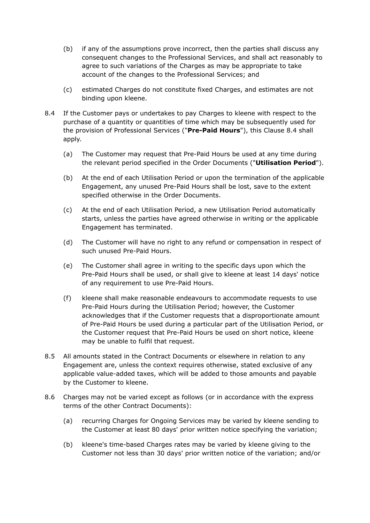- (b) if any of the assumptions prove incorrect, then the parties shall discuss any consequent changes to the Professional Services, and shall act reasonably to agree to such variations of the Charges as may be appropriate to take account of the changes to the Professional Services; and
- (c) estimated Charges do not constitute fixed Charges, and estimates are not binding upon kleene.
- 8.4 If the Customer pays or undertakes to pay Charges to kleene with respect to the purchase of a quantity or quantities of time which may be subsequently used for the provision of Professional Services ("**Pre-Paid Hours**"), this Clause 8.4 shall apply.
	- (a) The Customer may request that Pre-Paid Hours be used at any time during the relevant period specified in the Order Documents ("**Utilisation Period**").
	- (b) At the end of each Utilisation Period or upon the termination of the applicable Engagement, any unused Pre-Paid Hours shall be lost, save to the extent specified otherwise in the Order Documents.
	- (c) At the end of each Utilisation Period, a new Utilisation Period automatically starts, unless the parties have agreed otherwise in writing or the applicable Engagement has terminated.
	- (d) The Customer will have no right to any refund or compensation in respect of such unused Pre-Paid Hours.
	- (e) The Customer shall agree in writing to the specific days upon which the Pre-Paid Hours shall be used, or shall give to kleene at least 14 days' notice of any requirement to use Pre-Paid Hours.
	- (f) kleene shall make reasonable endeavours to accommodate requests to use Pre-Paid Hours during the Utilisation Period; however, the Customer acknowledges that if the Customer requests that a disproportionate amount of Pre-Paid Hours be used during a particular part of the Utilisation Period, or the Customer request that Pre-Paid Hours be used on short notice, kleene may be unable to fulfil that request.
- 8.5 All amounts stated in the Contract Documents or elsewhere in relation to any Engagement are, unless the context requires otherwise, stated exclusive of any applicable value-added taxes, which will be added to those amounts and payable by the Customer to kleene.
- 8.6 Charges may not be varied except as follows (or in accordance with the express terms of the other Contract Documents):
	- (a) recurring Charges for Ongoing Services may be varied by kleene sending to the Customer at least 80 days' prior written notice specifying the variation;
	- (b) kleene's time-based Charges rates may be varied by kleene giving to the Customer not less than 30 days' prior written notice of the variation; and/or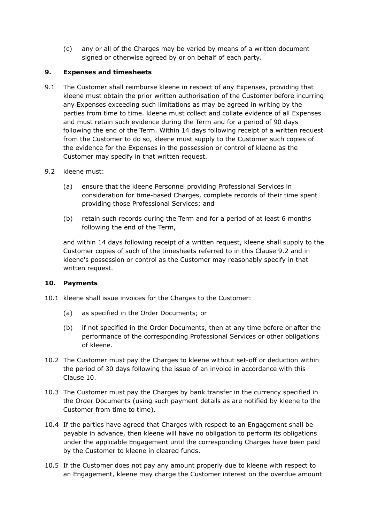(c) any or all of the Charges may be varied by means of a written document signed or otherwise agreed by or on behalf of each party.

## **9. Expenses and timesheets**

- 9.1 The Customer shall reimburse kleene in respect of any Expenses, providing that kleene must obtain the prior written authorisation of the Customer before incurring any Expenses exceeding such limitations as may be agreed in writing by the parties from time to time. kleene must collect and collate evidence of all Expenses and must retain such evidence during the Term and for a period of 90 days following the end of the Term. Within 14 days following receipt of a written request from the Customer to do so, kleene must supply to the Customer such copies of the evidence for the Expenses in the possession or control of kleene as the Customer may specify in that written request.
- 9.2 kleene must:
	- (a) ensure that the kleene Personnel providing Professional Services in consideration for time-based Charges, complete records of their time spent providing those Professional Services; and
	- (b) retain such records during the Term and for a period of at least 6 months following the end of the Term,

and within 14 days following receipt of a written request, kleene shall supply to the Customer copies of such of the timesheets referred to in this Clause 9.2 and in kleene's possession or control as the Customer may reasonably specify in that written request.

## **10. Payments**

- 10.1 kleene shall issue invoices for the Charges to the Customer:
	- (a) as specified in the Order Documents; or
	- (b) if not specified in the Order Documents, then at any time before or after the performance of the corresponding Professional Services or other obligations of kleene.
- 10.2 The Customer must pay the Charges to kleene without set-off or deduction within the period of 30 days following the issue of an invoice in accordance with this Clause 10.
- 10.3 The Customer must pay the Charges by bank transfer in the currency specified in the Order Documents (using such payment details as are notified by kleene to the Customer from time to time).
- 10.4 If the parties have agreed that Charges with respect to an Engagement shall be payable in advance, then kleene will have no obligation to perform its obligations under the applicable Engagement until the corresponding Charges have been paid by the Customer to kleene in cleared funds.
- 10.5 If the Customer does not pay any amount properly due to kleene with respect to an Engagement, kleene may charge the Customer interest on the overdue amount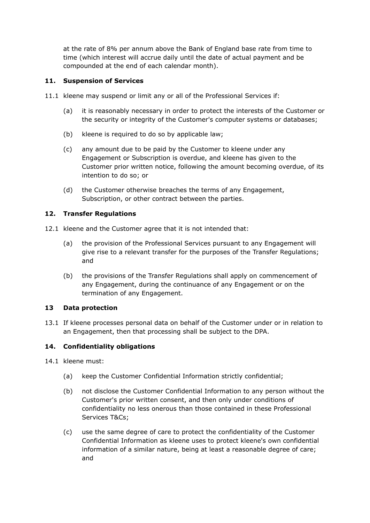at the rate of 8% per annum above the Bank of England base rate from time to time (which interest will accrue daily until the date of actual payment and be compounded at the end of each calendar month).

## **11. Suspension of Services**

- 11.1 kleene may suspend or limit any or all of the Professional Services if:
	- (a) it is reasonably necessary in order to protect the interests of the Customer or the security or integrity of the Customer's computer systems or databases;
	- (b) kleene is required to do so by applicable law;
	- (c) any amount due to be paid by the Customer to kleene under any Engagement or Subscription is overdue, and kleene has given to the Customer prior written notice, following the amount becoming overdue, of its intention to do so; or
	- (d) the Customer otherwise breaches the terms of any Engagement, Subscription, or other contract between the parties.

# **12. Transfer Regulations**

- 12.1 kleene and the Customer agree that it is not intended that:
	- (a) the provision of the Professional Services pursuant to any Engagement will give rise to a relevant transfer for the purposes of the Transfer Regulations; and
	- (b) the provisions of the Transfer Regulations shall apply on commencement of any Engagement, during the continuance of any Engagement or on the termination of any Engagement.

## **13 Data protection**

13.1 If kleene processes personal data on behalf of the Customer under or in relation to an Engagement, then that processing shall be subject to the DPA.

## **14. Confidentiality obligations**

- 14.1 kleene must:
	- (a) keep the Customer Confidential Information strictly confidential;
	- (b) not disclose the Customer Confidential Information to any person without the Customer's prior written consent, and then only under conditions of confidentiality no less onerous than those contained in these Professional Services T&Cs;
	- (c) use the same degree of care to protect the confidentiality of the Customer Confidential Information as kleene uses to protect kleene's own confidential information of a similar nature, being at least a reasonable degree of care; and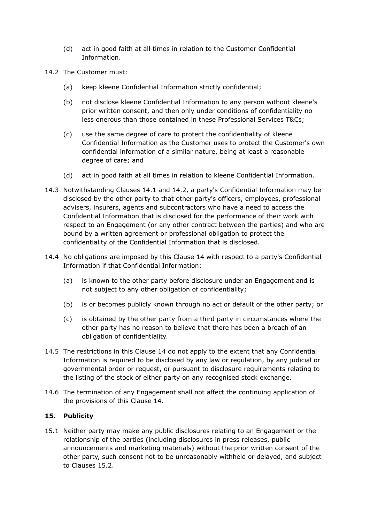- (d) act in good faith at all times in relation to the Customer Confidential Information.
- 14.2 The Customer must:
	- (a) keep kleene Confidential Information strictly confidential;
	- (b) not disclose kleene Confidential Information to any person without kleene's prior written consent, and then only under conditions of confidentiality no less onerous than those contained in these Professional Services T&Cs;
	- (c) use the same degree of care to protect the confidentiality of kleene Confidential Information as the Customer uses to protect the Customer's own confidential information of a similar nature, being at least a reasonable degree of care; and
	- (d) act in good faith at all times in relation to kleene Confidential Information.
- 14.3 Notwithstanding Clauses 14.1 and 14.2, a party's Confidential Information may be disclosed by the other party to that other party's officers, employees, professional advisers, insurers, agents and subcontractors who have a need to access the Confidential Information that is disclosed for the performance of their work with respect to an Engagement (or any other contract between the parties) and who are bound by a written agreement or professional obligation to protect the confidentiality of the Confidential Information that is disclosed.
- 14.4 No obligations are imposed by this Clause 14 with respect to a party's Confidential Information if that Confidential Information:
	- (a) is known to the other party before disclosure under an Engagement and is not subject to any other obligation of confidentiality;
	- (b) is or becomes publicly known through no act or default of the other party; or
	- (c) is obtained by the other party from a third party in circumstances where the other party has no reason to believe that there has been a breach of an obligation of confidentiality.
- 14.5 The restrictions in this Clause 14 do not apply to the extent that any Confidential Information is required to be disclosed by any law or regulation, by any judicial or governmental order or request, or pursuant to disclosure requirements relating to the listing of the stock of either party on any recognised stock exchange.
- 14.6 The termination of any Engagement shall not affect the continuing application of the provisions of this Clause 14.

## **15. Publicity**

15.1 Neither party may make any public disclosures relating to an Engagement or the relationship of the parties (including disclosures in press releases, public announcements and marketing materials) without the prior written consent of the other party, such consent not to be unreasonably withheld or delayed, and subject to Clauses 15.2.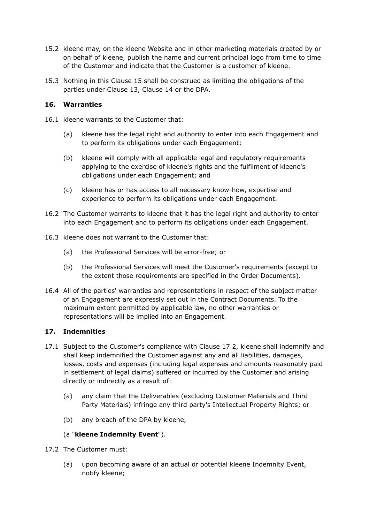- 15.2 kleene may, on the kleene Website and in other marketing materials created by or on behalf of kleene, publish the name and current principal logo from time to time of the Customer and indicate that the Customer is a customer of kleene.
- 15.3 Nothing in this Clause 15 shall be construed as limiting the obligations of the parties under Clause 13, Clause 14 or the DPA.

## **16. Warranties**

- 16.1 kleene warrants to the Customer that:
	- (a) kleene has the legal right and authority to enter into each Engagement and to perform its obligations under each Engagement;
	- (b) kleene will comply with all applicable legal and regulatory requirements applying to the exercise of kleene's rights and the fulfilment of kleene's obligations under each Engagement; and
	- (c) kleene has or has access to all necessary know-how, expertise and experience to perform its obligations under each Engagement.
- 16.2 The Customer warrants to kleene that it has the legal right and authority to enter into each Engagement and to perform its obligations under each Engagement.
- 16.3 kleene does not warrant to the Customer that:
	- (a) the Professional Services will be error-free; or
	- (b) the Professional Services will meet the Customer's requirements (except to the extent those requirements are specified in the Order Documents).
- 16.4 All of the parties' warranties and representations in respect of the subject matter of an Engagement are expressly set out in the Contract Documents. To the maximum extent permitted by applicable law, no other warranties or representations will be implied into an Engagement.

## **17. Indemnities**

- 17.1 Subject to the Customer's compliance with Clause 17.2, kleene shall indemnify and shall keep indemnified the Customer against any and all liabilities, damages, losses, costs and expenses (including legal expenses and amounts reasonably paid in settlement of legal claims) suffered or incurred by the Customer and arising directly or indirectly as a result of:
	- (a) any claim that the Deliverables (excluding Customer Materials and Third Party Materials) infringe any third party's Intellectual Property Rights; or
	- (b) any breach of the DPA by kleene,

## (a "**kleene Indemnity Event**").

- 17.2 The Customer must:
	- (a) upon becoming aware of an actual or potential kleene Indemnity Event, notify kleene;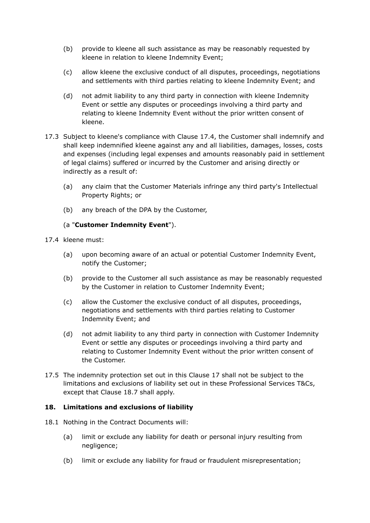- (b) provide to kleene all such assistance as may be reasonably requested by kleene in relation to kleene Indemnity Event;
- (c) allow kleene the exclusive conduct of all disputes, proceedings, negotiations and settlements with third parties relating to kleene Indemnity Event; and
- (d) not admit liability to any third party in connection with kleene Indemnity Event or settle any disputes or proceedings involving a third party and relating to kleene Indemnity Event without the prior written consent of kleene.
- 17.3 Subject to kleene's compliance with Clause 17.4, the Customer shall indemnify and shall keep indemnified kleene against any and all liabilities, damages, losses, costs and expenses (including legal expenses and amounts reasonably paid in settlement of legal claims) suffered or incurred by the Customer and arising directly or indirectly as a result of:
	- (a) any claim that the Customer Materials infringe any third party's Intellectual Property Rights; or
	- (b) any breach of the DPA by the Customer,

## (a "**Customer Indemnity Event**").

17.4 kleene must:

- (a) upon becoming aware of an actual or potential Customer Indemnity Event, notify the Customer;
- (b) provide to the Customer all such assistance as may be reasonably requested by the Customer in relation to Customer Indemnity Event;
- (c) allow the Customer the exclusive conduct of all disputes, proceedings, negotiations and settlements with third parties relating to Customer Indemnity Event; and
- (d) not admit liability to any third party in connection with Customer Indemnity Event or settle any disputes or proceedings involving a third party and relating to Customer Indemnity Event without the prior written consent of the Customer.
- 17.5 The indemnity protection set out in this Clause 17 shall not be subject to the limitations and exclusions of liability set out in these Professional Services T&Cs, except that Clause 18.7 shall apply.

## **18. Limitations and exclusions of liability**

- 18.1 Nothing in the Contract Documents will:
	- (a) limit or exclude any liability for death or personal injury resulting from negligence;
	- (b) limit or exclude any liability for fraud or fraudulent misrepresentation;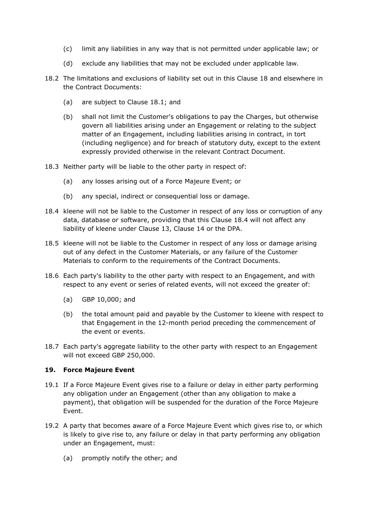- (c) limit any liabilities in any way that is not permitted under applicable law; or
- (d) exclude any liabilities that may not be excluded under applicable law.
- 18.2 The limitations and exclusions of liability set out in this Clause 18 and elsewhere in the Contract Documents:
	- (a) are subject to Clause 18.1; and
	- (b) shall not limit the Customer's obligations to pay the Charges, but otherwise govern all liabilities arising under an Engagement or relating to the subject matter of an Engagement, including liabilities arising in contract, in tort (including negligence) and for breach of statutory duty, except to the extent expressly provided otherwise in the relevant Contract Document.
- 18.3 Neither party will be liable to the other party in respect of:
	- (a) any losses arising out of a Force Majeure Event; or
	- (b) any special, indirect or consequential loss or damage.
- 18.4 kleene will not be liable to the Customer in respect of any loss or corruption of any data, database or software, providing that this Clause 18.4 will not affect any liability of kleene under Clause 13, Clause 14 or the DPA.
- 18.5 kleene will not be liable to the Customer in respect of any loss or damage arising out of any defect in the Customer Materials, or any failure of the Customer Materials to conform to the requirements of the Contract Documents.
- 18.6 Each party's liability to the other party with respect to an Engagement, and with respect to any event or series of related events, will not exceed the greater of:
	- (a) GBP 10,000; and
	- (b) the total amount paid and payable by the Customer to kleene with respect to that Engagement in the 12-month period preceding the commencement of the event or events.
- 18.7 Each party's aggregate liability to the other party with respect to an Engagement will not exceed GBP 250,000.

#### **19. Force Majeure Event**

- 19.1 If a Force Majeure Event gives rise to a failure or delay in either party performing any obligation under an Engagement (other than any obligation to make a payment), that obligation will be suspended for the duration of the Force Majeure Event.
- 19.2 A party that becomes aware of a Force Majeure Event which gives rise to, or which is likely to give rise to, any failure or delay in that party performing any obligation under an Engagement, must:
	- (a) promptly notify the other; and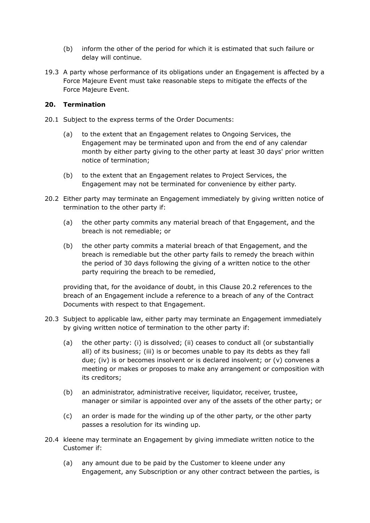- (b) inform the other of the period for which it is estimated that such failure or delay will continue.
- 19.3 A party whose performance of its obligations under an Engagement is affected by a Force Majeure Event must take reasonable steps to mitigate the effects of the Force Majeure Event.

#### **20. Termination**

- 20.1 Subject to the express terms of the Order Documents:
	- (a) to the extent that an Engagement relates to Ongoing Services, the Engagement may be terminated upon and from the end of any calendar month by either party giving to the other party at least 30 days' prior written notice of termination;
	- (b) to the extent that an Engagement relates to Project Services, the Engagement may not be terminated for convenience by either party.
- 20.2 Either party may terminate an Engagement immediately by giving written notice of termination to the other party if:
	- (a) the other party commits any material breach of that Engagement, and the breach is not remediable; or
	- (b) the other party commits a material breach of that Engagement, and the breach is remediable but the other party fails to remedy the breach within the period of 30 days following the giving of a written notice to the other party requiring the breach to be remedied,

providing that, for the avoidance of doubt, in this Clause 20.2 references to the breach of an Engagement include a reference to a breach of any of the Contract Documents with respect to that Engagement.

- 20.3 Subject to applicable law, either party may terminate an Engagement immediately by giving written notice of termination to the other party if:
	- (a) the other party: (i) is dissolved; (ii) ceases to conduct all (or substantially all) of its business; (iii) is or becomes unable to pay its debts as they fall due; (iv) is or becomes insolvent or is declared insolvent; or (v) convenes a meeting or makes or proposes to make any arrangement or composition with its creditors;
	- (b) an administrator, administrative receiver, liquidator, receiver, trustee, manager or similar is appointed over any of the assets of the other party; or
	- (c) an order is made for the winding up of the other party, or the other party passes a resolution for its winding up.
- 20.4 kleene may terminate an Engagement by giving immediate written notice to the Customer if:
	- (a) any amount due to be paid by the Customer to kleene under any Engagement, any Subscription or any other contract between the parties, is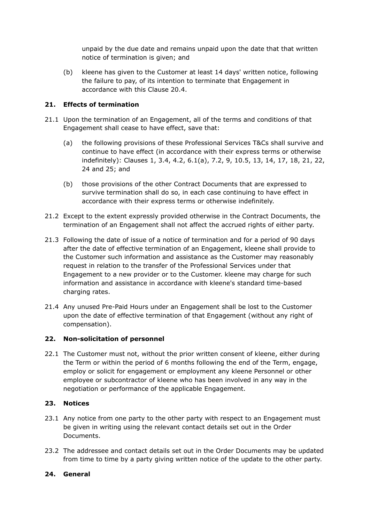unpaid by the due date and remains unpaid upon the date that that written notice of termination is given; and

(b) kleene has given to the Customer at least 14 days' written notice, following the failure to pay, of its intention to terminate that Engagement in accordance with this Clause 20.4.

# **21. Effects of termination**

- 21.1 Upon the termination of an Engagement, all of the terms and conditions of that Engagement shall cease to have effect, save that:
	- (a) the following provisions of these Professional Services T&Cs shall survive and continue to have effect (in accordance with their express terms or otherwise indefinitely): Clauses 1, 3.4, 4.2, 6.1(a), 7.2, 9, 10.5, 13, 14, 17, 18, 21, 22, 24 and 25; and
	- (b) those provisions of the other Contract Documents that are expressed to survive termination shall do so, in each case continuing to have effect in accordance with their express terms or otherwise indefinitely.
- 21.2 Except to the extent expressly provided otherwise in the Contract Documents, the termination of an Engagement shall not affect the accrued rights of either party.
- 21.3 Following the date of issue of a notice of termination and for a period of 90 days after the date of effective termination of an Engagement, kleene shall provide to the Customer such information and assistance as the Customer may reasonably request in relation to the transfer of the Professional Services under that Engagement to a new provider or to the Customer. kleene may charge for such information and assistance in accordance with kleene's standard time-based charging rates.
- 21.4 Any unused Pre-Paid Hours under an Engagement shall be lost to the Customer upon the date of effective termination of that Engagement (without any right of compensation).

## **22. Non-solicitation of personnel**

22.1 The Customer must not, without the prior written consent of kleene, either during the Term or within the period of 6 months following the end of the Term, engage, employ or solicit for engagement or employment any kleene Personnel or other employee or subcontractor of kleene who has been involved in any way in the negotiation or performance of the applicable Engagement.

## **23. Notices**

- 23.1 Any notice from one party to the other party with respect to an Engagement must be given in writing using the relevant contact details set out in the Order Documents.
- 23.2 The addressee and contact details set out in the Order Documents may be updated from time to time by a party giving written notice of the update to the other party.

## **24. General**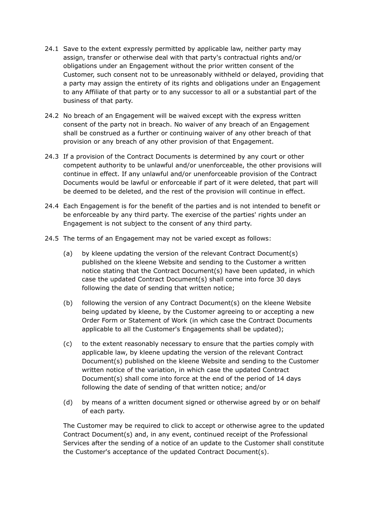- 24.1 Save to the extent expressly permitted by applicable law, neither party may assign, transfer or otherwise deal with that party's contractual rights and/or obligations under an Engagement without the prior written consent of the Customer, such consent not to be unreasonably withheld or delayed, providing that a party may assign the entirety of its rights and obligations under an Engagement to any Affiliate of that party or to any successor to all or a substantial part of the business of that party.
- 24.2 No breach of an Engagement will be waived except with the express written consent of the party not in breach. No waiver of any breach of an Engagement shall be construed as a further or continuing waiver of any other breach of that provision or any breach of any other provision of that Engagement.
- 24.3 If a provision of the Contract Documents is determined by any court or other competent authority to be unlawful and/or unenforceable, the other provisions will continue in effect. If any unlawful and/or unenforceable provision of the Contract Documents would be lawful or enforceable if part of it were deleted, that part will be deemed to be deleted, and the rest of the provision will continue in effect.
- 24.4 Each Engagement is for the benefit of the parties and is not intended to benefit or be enforceable by any third party. The exercise of the parties' rights under an Engagement is not subject to the consent of any third party.
- 24.5 The terms of an Engagement may not be varied except as follows:
	- (a) by kleene updating the version of the relevant Contract Document(s) published on the kleene Website and sending to the Customer a written notice stating that the Contract Document(s) have been updated, in which case the updated Contract Document(s) shall come into force 30 days following the date of sending that written notice;
	- (b) following the version of any Contract Document(s) on the kleene Website being updated by kleene, by the Customer agreeing to or accepting a new Order Form or Statement of Work (in which case the Contract Documents applicable to all the Customer's Engagements shall be updated);
	- (c) to the extent reasonably necessary to ensure that the parties comply with applicable law, by kleene updating the version of the relevant Contract Document(s) published on the kleene Website and sending to the Customer written notice of the variation, in which case the updated Contract Document(s) shall come into force at the end of the period of 14 days following the date of sending of that written notice; and/or
	- (d) by means of a written document signed or otherwise agreed by or on behalf of each party.

The Customer may be required to click to accept or otherwise agree to the updated Contract Document(s) and, in any event, continued receipt of the Professional Services after the sending of a notice of an update to the Customer shall constitute the Customer's acceptance of the updated Contract Document(s).